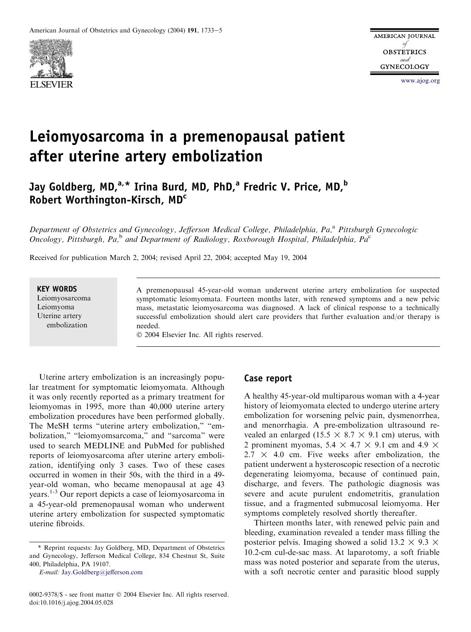

[www.ajog.org](http://www.ajog.org)

# Leiomyosarcoma in a premenopausal patient after uterine artery embolization

# Jay Goldberg, MD, $a, *$  Irina Burd, MD, PhD, $a$  Fredric V. Price, MD, $b$ Robert Worthington-Kirsch, MDc

Department of Obstetrics and Gynecology, Jefferson Medical College, Philadelphia, Pa,<sup>a</sup> Pittsburgh Gynecologic Oncology, Pittsburgh, Pa,<sup>b</sup> and Department of Radiology, Roxborough Hospital, Philadelphia, Pa<sup>c</sup>

Received for publication March 2, 2004; revised April 22, 2004; accepted May 19, 2004

#### KEY WORDS

Leiomyosarcoma Leiomyoma Uterine artery embolization

A premenopausal 45-year-old woman underwent uterine artery embolization for suspected symptomatic leiomyomata. Fourteen months later, with renewed symptoms and a new pelvic mass, metastatic leiomyosarcoma was diagnosed. A lack of clinical response to a technically successful embolization should alert care providers that further evaluation and/or therapy is needed.

2004 Elsevier Inc. All rights reserved.

Uterine artery embolization is an increasingly popular treatment for symptomatic leiomyomata. Although it was only recently reported as a primary treatment for leiomyomas in 1995, more than 40,000 uterine artery embolization procedures have been performed globally. The MeSH terms "uterine artery embolization," "embolization," "leiomyomsarcoma," and "sarcoma" were used to search MEDLINE and PubMed for published reports of leiomyosarcoma after uterine artery embolization, identifying only 3 cases. Two of these cases occurred in women in their 50s, with the third in a 49 year-old woman, who became menopausal at age 43 years.[1-3](#page-1-0) Our report depicts a case of leiomyosarcoma in a 45-year-old premenopausal woman who underwent uterine artery embolization for suspected symptomatic uterine fibroids.

E-mail: [Jay.Goldberg@jefferson.com](mailto:Jay.Goldberg@jefferson.com)

## Case report

A healthy 45-year-old multiparous woman with a 4-year history of leiomyomata elected to undergo uterine artery embolization for worsening pelvic pain, dysmenorrhea, and menorrhagia. A pre-embolization ultrasound revealed an enlarged (15.5  $\times$  8.7  $\times$  9.1 cm) uterus, with 2 prominent myomas,  $5.4 \times 4.7 \times 9.1$  cm and  $4.9 \times$  $2.7 \times 4.0$  cm. Five weeks after embolization, the patient underwent a hysteroscopic resection of a necrotic degenerating leiomyoma, because of continued pain, discharge, and fevers. The pathologic diagnosis was severe and acute purulent endometritis, granulation tissue, and a fragmented submucosal leiomyoma. Her symptoms completely resolved shortly thereafter.

Thirteen months later, with renewed pelvic pain and bleeding, examination revealed a tender mass filling the posterior pelvis. Imaging showed a solid  $13.2 \times 9.3 \times$ 10.2-cm cul-de-sac mass. At laparotomy, a soft friable mass was noted posterior and separate from the uterus, with a soft necrotic center and parasitic blood supply

<sup>\*</sup> Reprint requests: Jay Goldberg, MD, Department of Obstetrics and Gynecology, Jefferson Medical College, 834 Chestnut St, Suite 400, Philadelphia, PA 19107.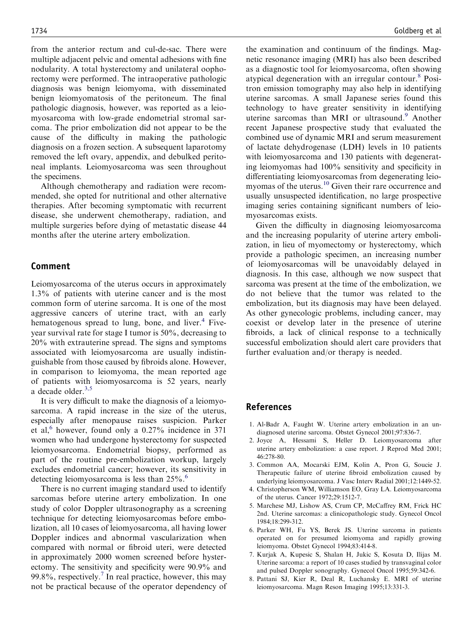<span id="page-1-0"></span>from the anterior rectum and cul-de-sac. There were multiple adjacent pelvic and omental adhesions with fine nodularity. A total hysterectomy and unilateral oophorectomy were performed. The intraoperative pathologic diagnosis was benign leiomyoma, with disseminated benign leiomyomatosis of the peritoneum. The final pathologic diagnosis, however, was reported as a leiomyosarcoma with low-grade endometrial stromal sarcoma. The prior embolization did not appear to be the cause of the difficulty in making the pathologic diagnosis on a frozen section. A subsequent laparotomy removed the left ovary, appendix, and debulked peritoneal implants. Leiomyosarcoma was seen throughout the specimens.

Although chemotherapy and radiation were recommended, she opted for nutritional and other alternative therapies. After becoming symptomatic with recurrent disease, she underwent chemotherapy, radiation, and multiple surgeries before dying of metastatic disease 44 months after the uterine artery embolization.

#### Comment

Leiomyosarcoma of the uterus occurs in approximately 1.3% of patients with uterine cancer and is the most common form of uterine sarcoma. It is one of the most aggressive cancers of uterine tract, with an early hematogenous spread to lung, bone, and liver. $4$  Fiveyear survival rate for stage I tumor is 50%, decreasing to 20% with extrauterine spread. The signs and symptoms associated with leiomyosarcoma are usually indistinguishable from those caused by fibroids alone. However, in comparison to leiomyoma, the mean reported age of patients with leiomyosarcoma is 52 years, nearly a decade older.<sup>3,5</sup>

It is very difficult to make the diagnosis of a leiomyosarcoma. A rapid increase in the size of the uterus, especially after menopause raises suspicion. Parker et al, $^6$  however, found only a 0.27% incidence in 371 women who had undergone hysterectomy for suspected leiomyosarcoma. Endometrial biopsy, performed as part of the routine pre-embolization workup, largely excludes endometrial cancer; however, its sensitivity in detecting leiomyosarcoma is less than  $25\%$ .<sup>6</sup>

There is no current imaging standard used to identify sarcomas before uterine artery embolization. In one study of color Doppler ultrasonography as a screening technique for detecting leiomyosarcomas before embolization, all 10 cases of leiomyosarcoma, all having lower Doppler indices and abnormal vascularization when compared with normal or fibroid uteri, were detected in approximately 2000 women screened before hysterectomy. The sensitivity and specificity were 90.9% and 99.8%, respectively.<sup>7</sup> In real practice, however, this may not be practical because of the operator dependency of

the examination and continuum of the findings. Magnetic resonance imaging (MRI) has also been described as a diagnostic tool for leiomyosarcoma, often showing atypical degeneration with an irregular contour.<sup>8</sup> Positron emission tomography may also help in identifying uterine sarcomas. A small Japanese series found this technology to have greater sensitivity in identifying uterine sarcomas than MRI or ultrasound.<sup>9</sup> Another recent Japanese prospective study that evaluated the combined use of dynamic MRI and serum measurement of lactate dehydrogenase (LDH) levels in 10 patients with leiomyosarcoma and 130 patients with degenerating leiomyomas had 100% sensitivity and specificity in differentiating leiomyosarcomas from degenerating leiomyomas of the uterus.<sup>10</sup> Given their rare occurrence and usually unsuspected identification, no large prospective imaging series containing significant numbers of leiomyosarcomas exists.

Given the difficulty in diagnosing leiomyosarcoma and the increasing popularity of uterine artery embolization, in lieu of myomectomy or hysterectomy, which provide a pathologic specimen, an increasing number of leiomyosarcomas will be unavoidably delayed in diagnosis. In this case, although we now suspect that sarcoma was present at the time of the embolization, we do not believe that the tumor was related to the embolization, but its diagnosis may have been delayed. As other gynecologic problems, including cancer, may coexist or develop later in the presence of uterine fibroids, a lack of clinical response to a technically successful embolization should alert care providers that further evaluation and/or therapy is needed.

## References

- 1. Al-Badr A, Faught W. Uterine artery embolization in an undiagnosed uterine sarcoma. Obstet Gynecol 2001;97:836-7.
- 2. Joyce A, Hessami S, Heller D. Leiomyosarcoma after uterine artery embolization: a case report. J Reprod Med 2001; 46:278-80.
- 3. Common AA, Mocarski EJM, Kolin A, Pron G, Soucie J. Therapeutic failure of uterine fibroid embolization caused by underlying leiomyosarcoma. J Vasc Interv Radial 2001;12:1449-52.
- 4. Christopherson WM, Williamson EO, Gray LA. Leiomyosarcoma of the uterus. Cancer 1972;29:1512-7.
- 5. Marchese MJ, Lishow AS, Crum CP, McCaffrey RM, Frick HC 2nd. Uterine sarcomas: a clinicopathologic study. Gynecol Oncol 1984;18:299-312.
- 6. Parker WH, Fu YS, Berek JS. Uterine sarcoma in patients operated on for presumed leiomyoma and rapidly growing leiomyoma. Obstet Gynecol 1994;83:414-8.
- 7. Kurjak A, Kupesic S, Shalan H, Jukic S, Kosuta D, Ilijas M. Uterine sarcoma: a report of 10 cases studied by transvaginal color and pulsed Doppler sonography. Gynecol Oncol 1995;59:342-6.
- 8. Pattani SJ, Kier R, Deal R, Luchansky E. MRI of uterine leiomyosarcoma. Magn Reson Imaging 1995;13:331-3.